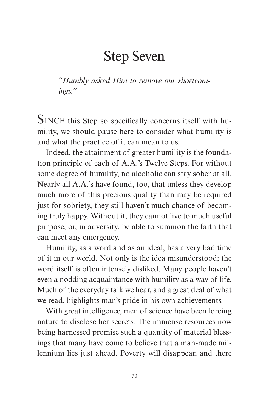## Step Seven

*"Humbly asked Him to remove our shortcomings."* 

 $S$ INCE this Step so specifically concerns itself with humility, we should pause here to consider what humility is and what the practice of it can mean to us.

Indeed, the attainment of greater humility is the foundation principle of each of A.A.'s Twelve Steps. For without some degree of humility, no alcoholic can stay sober at all. Nearly all A.A.'s have found, too, that unless they develop much more of this precious quality than may be required just for sobriety, they still haven't much chance of becoming truly happy. Without it, they cannot live to much useful purpose, or, in adversity, be able to summon the faith that can meet any emergency.

Humility, as a word and as an ideal, has a very bad time of it in our world. Not only is the idea misunderstood; the word itself is often intensely disliked. Many people haven't even a nodding acquaintance with humility as a way of life. Much of the everyday talk we hear, and a great deal of what we read, highlights man's pride in his own achievements.

With great intelligence, men of science have been forcing nature to disclose her secrets. The immense resources now being harnessed promise such a quantity of material blessings that many have come to believe that a man-made millennium lies just ahead. Poverty will disappear, and there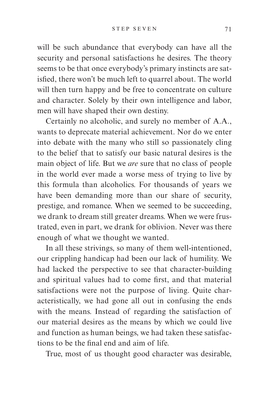will be such abundance that everybody can have all the security and personal satisfactions he desires. The theory seems to be that once everybody's primary instincts are satisfied, there won't be much left to quarrel about. The world will then turn happy and be free to concentrate on culture and character. Solely by their own intelligence and labor, men will have shaped their own destiny.

Certainly no alcoholic, and surely no member of A.A., wants to deprecate material achievement. Nor do we enter into debate with the many who still so passionately cling to the belief that to satisfy our basic natural desires is the main object of life. But we *are* sure that no class of people in the world ever made a worse mess of trying to live by this formula than alcoholics. For thousands of years we have been demanding more than our share of security, prestige, and romance. When we seemed to be succeeding, we drank to dream still greater dreams. When we were frustrated, even in part, we drank for oblivion. Never was there enough of what we thought we wanted.

In all these strivings, so many of them well-intentioned, our crippling handicap had been our lack of humility. We had lacked the perspective to see that character-building and spiritual values had to come first, and that material satisfactions were not the purpose of living. Quite characteristically, we had gone all out in confusing the ends with the means. Instead of regarding the satisfaction of our material desires as the means by which we could live and function as human beings, we had taken these satisfactions to be the final end and aim of life.

True, most of us thought good character was desirable,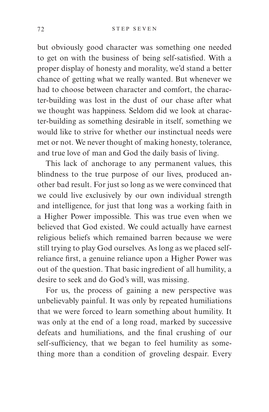but obviously good character was something one needed to get on with the business of being self-satisfied. With a proper display of honesty and morality, we'd stand a better chance of getting what we really wanted. But whenever we had to choose between character and comfort, the character-building was lost in the dust of our chase after what we thought was happiness. Seldom did we look at character-building as something desirable in itself, something we would like to strive for whether our instinctual needs were met or not. We never thought of making honesty, tolerance, and true love of man and God the daily basis of living.

This lack of anchorage to any permanent values, this blindness to the true purpose of our lives, produced another bad result. For just so long as we were convinced that we could live exclusively by our own individual strength and intelligence, for just that long was a working faith in a Higher Power impossible. This was true even when we believed that God existed. We could actually have earnest religious beliefs which remained barren because we were still trying to play God ourselves. As long as we placed selfreliance first, a genuine reliance upon a Higher Power was out of the question. That basic ingredient of all humility, a desire to seek and do God's will, was missing.

For us, the process of gaining a new perspective was unbelievably painful. It was only by repeated humiliations that we were forced to learn something about humility. It was only at the end of a long road, marked by successive defeats and humiliations, and the final crushing of our self-sufficiency, that we began to feel humility as something more than a condition of groveling despair. Every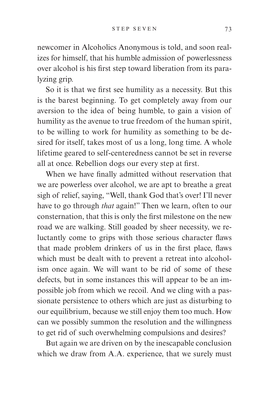newcomer in Alcoholics Anonymous is told, and soon realizes for himself, that his humble admission of powerlessness over alcohol is his first step toward liberation from its paralyzing grip.

So it is that we first see humility as a necessity. But this is the barest beginning. To get completely away from our aversion to the idea of being humble, to gain a vision of humility as the avenue to true freedom of the human spirit, to be willing to work for humility as something to be desired for itself, takes most of us a long, long time. A whole lifetime geared to self-centeredness cannot be set in reverse all at once. Rebellion dogs our every step at first.

When we have finally admitted without reservation that we are powerless over alcohol, we are apt to breathe a great sigh of relief, saying, "Well, thank God that's over! I'll never have to go through *that* again!" Then we learn, often to our consternation, that this is only the first milestone on the new road we are walking. Still goaded by sheer necessity, we reluctantly come to grips with those serious character flaws that made problem drinkers of us in the first place, flaws which must be dealt with to prevent a retreat into alcoholism once again. We will want to be rid of some of these defects, but in some instances this will appear to be an impossible job from which we recoil. And we cling with a passionate persistence to others which are just as disturbing to our equilibrium, because we still enjoy them too much. How can we possibly summon the resolution and the willingness to get rid of such overwhelming compulsions and desires?

But again we are driven on by the inescapable conclusion which we draw from A.A. experience, that we surely must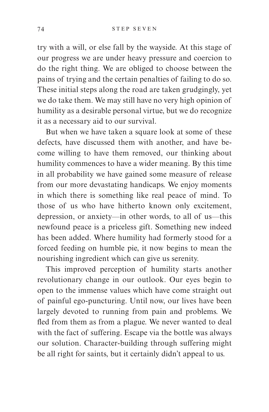try with a will, or else fall by the wayside. At this stage of our progress we are under heavy pressure and coercion to do the right thing. We are obliged to choose between the pains of trying and the certain penalties of failing to do so. These initial steps along the road are taken grudgingly, yet we do take them. We may still have no very high opinion of humility as a desirable personal virtue, but we do recognize it as a necessary aid to our survival.

But when we have taken a square look at some of these defects, have discussed them with another, and have become willing to have them removed, our thinking about humility commences to have a wider meaning. By this time in all probability we have gained some measure of release from our more devastating handicaps. We enjoy moments in which there is something like real peace of mind. To those of us who have hitherto known only excitement, depression, or anxiety—in other words, to all of us—this newfound peace is a priceless gift. Something new indeed has been added. Where humility had formerly stood for a forced feeding on humble pie, it now begins to mean the nourishing ingredient which can give us serenity.

This improved perception of humility starts another revolutionary change in our outlook. Our eyes begin to open to the immense values which have come straight out of painful ego-puncturing. Until now, our lives have been largely devoted to running from pain and problems. We fled from them as from a plague. We never wanted to deal with the fact of suffering. Escape via the bottle was always our solution. Character-building through suffering might be all right for saints, but it certainly didn't appeal to us.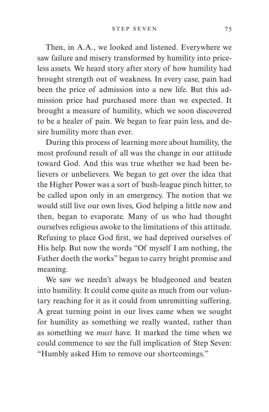Then, in A.A., we looked and listened. Everywhere we saw failure and misery transformed by humility into priceless assets. We heard story after story of how humility had brought strength out of weakness. In every case, pain had been the price of admission into a new life. But this admission price had purchased more than we expected. It brought a measure of humility, which we soon discovered to be a healer of pain. We began to fear pain less, and desire humility more than ever.

During this process of learning more about humility, the most profound result of all was the change in our attitude toward God. And this was true whether we had been believers or unbelievers. We began to get over the idea that the Higher Power was a sort of bush-league pinch hitter, to be called upon only in an emergency. The notion that we would still live our own lives, God helping a little now and then, began to evaporate. Many of us who had thought ourselves religious awoke to the limitations of this attitude. Refusing to place God first, we had deprived ourselves of His help. But now the words "Of myself I am nothing, the Father doeth the works" began to carry bright promise and meaning.

We saw we needn't always be bludgeoned and beaten into humility. It could come quite as much from our voluntary reaching for it as it could from unremitting suffering. A great turning point in our lives came when we sought for humility as something we really wanted, rather than as something we *must* have. It marked the time when we could commence to see the full implication of Step Seven: "Humbly asked Him to remove our shortcomings."